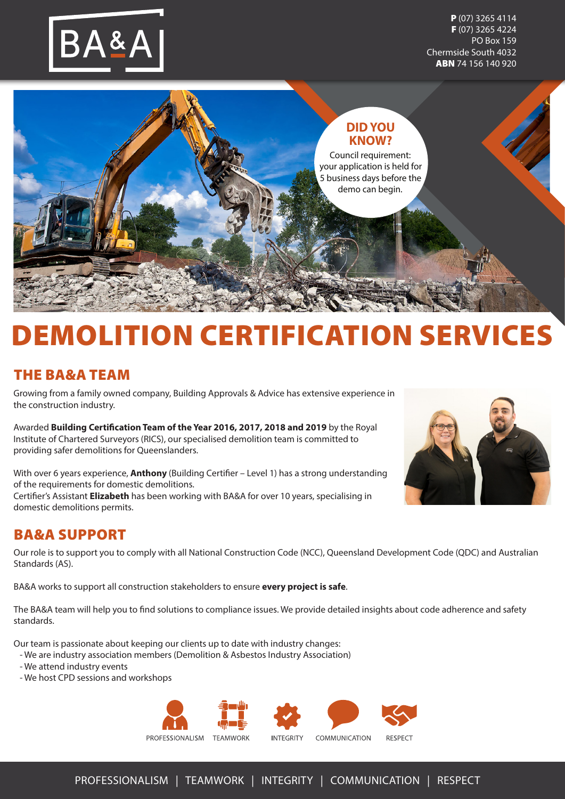

P (07) 3265 4114 F (07) 3265 4224 PO Box 159 Chermside South 4032 ABN 74 156 140 920



# **EMOLITION CERTIFICATION SERVICES**

# THE BA&A TEAM

Growing from a family owned company, Building Approvals & Advice has extensive experience in the construction industry.

Awarded **Building Certification Team of the Year 2016, 2017, 2018 and 2019** by the Royal Institute of Chartered Surveyors (RICS), our specialised demolition team is committed to providing safer demolitions for Queenslanders.

With over 6 years experience, **Anthony** (Building Certifier – Level 1) has a strong understanding of the requirements for domestic demolitions. Certifier's Assistant **Elizabeth** has been working with BA&A for over 10 years, specialising in domestic demolitions permits.

# BA&A SUPPORT

Our role is to support you to comply with all National Construction Code (NCC), Queensland Development Code (QDC) and Australian Standards (AS).

BA&A works to support all construction stakeholders to ensure **every project is safe**.

The BA&A team will help you to find solutions to compliance issues. We provide detailed insights about code adherence and safety standards.

Our team is passionate about keeping our clients up to date with industry changes:

- We are industry association members (Demolition & Asbestos Industry Association)
- We attend industry events
- We host CPD sessions and workshops